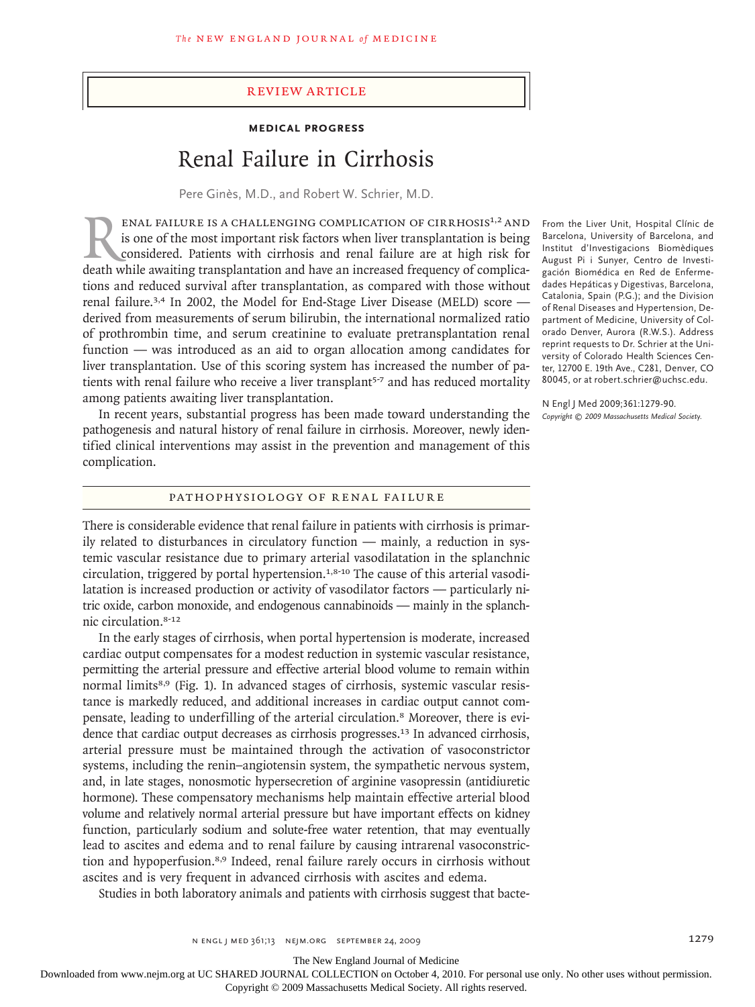#### review article

#### **Medical Progress**

# Renal Failure in Cirrhosis

Pere Ginès, M.D., and Robert W. Schrier, M.D.

ENAL FAILURE IS A CHALLENGING COMPLICATION OF CIRRHOSIS<sup>1,2</sup> AND<br>is one of the most important risk factors when liver transplantation is being<br>considered. Patients with cirrhosis and renal failure are at high risk for<br>deat is one of the most important risk factors when liver transplantation is being considered. Patients with cirrhosis and renal failure are at high risk for death while awaiting transplantation and have an increased frequency of complications and reduced survival after transplantation, as compared with those without renal failure.<sup>3,4</sup> In 2002, the Model for End-Stage Liver Disease (MELD) score derived from measurements of serum bilirubin, the international normalized ratio of prothrombin time, and serum creatinine to evaluate pretransplantation renal function — was introduced as an aid to organ allocation among candidates for liver transplantation. Use of this scoring system has increased the number of patients with renal failure who receive a liver transplant<sup>5-7</sup> and has reduced mortality among patients awaiting liver transplantation.

In recent years, substantial progress has been made toward understanding the pathogenesis and natural history of renal failure in cirrhosis. Moreover, newly identified clinical interventions may assist in the prevention and management of this complication.

## Pathophysiology of Renal Failure

There is considerable evidence that renal failure in patients with cirrhosis is primarily related to disturbances in circulatory function — mainly, a reduction in systemic vascular resistance due to primary arterial vasodilatation in the splanchnic circulation, triggered by portal hypertension.<sup>1,8-10</sup> The cause of this arterial vasodilatation is increased production or activity of vasodilator factors — particularly nitric oxide, carbon monoxide, and endogenous cannabinoids — mainly in the splanchnic circulation.8-12

In the early stages of cirrhosis, when portal hypertension is moderate, increased cardiac output compensates for a modest reduction in systemic vascular resistance, permitting the arterial pressure and effective arterial blood volume to remain within normal limits<sup>8,9</sup> (Fig. 1). In advanced stages of cirrhosis, systemic vascular resistance is markedly reduced, and additional increases in cardiac output cannot compensate, leading to underfilling of the arterial circulation.8 Moreover, there is evidence that cardiac output decreases as cirrhosis progresses.13 In advanced cirrhosis, arterial pressure must be maintained through the activation of vasoconstrictor systems, including the renin–angiotensin system, the sympathetic nervous system, and, in late stages, nonosmotic hypersecretion of arginine vasopressin (antidiuretic hormone). These compensatory mechanisms help maintain effective arterial blood volume and relatively normal arterial pressure but have important effects on kidney function, particularly sodium and solute-free water retention, that may eventually lead to ascites and edema and to renal failure by causing intrarenal vasoconstriction and hypoperfusion.8,9 Indeed, renal failure rarely occurs in cirrhosis without ascites and is very frequent in advanced cirrhosis with ascites and edema.

Studies in both laboratory animals and patients with cirrhosis suggest that bacte-

From the Liver Unit, Hospital Clínic de Barcelona, University of Barcelona, and Institut d'Investigacions Biomèdiques August Pi i Sunyer, Centro de Investigación Biomédica en Red de Enfermedades Hepáticas y Digestivas, Barcelona, Catalonia, Spain (P.G.); and the Division of Renal Diseases and Hypertension, Department of Medicine, University of Colorado Denver, Aurora (R.W.S.). Address reprint requests to Dr. Schrier at the University of Colorado Health Sciences Center, 12700 E. 19th Ave., C281, Denver, CO 80045, or at robert.schrier@uchsc.edu.

N Engl J Med 2009;361:1279-90. *Copyright © 2009 Massachusetts Medical Society.*

The New England Journal of Medicine

Downloaded from www.nejm.org at UC SHARED JOURNAL COLLECTION on October 4, 2010. For personal use only. No other uses without permission.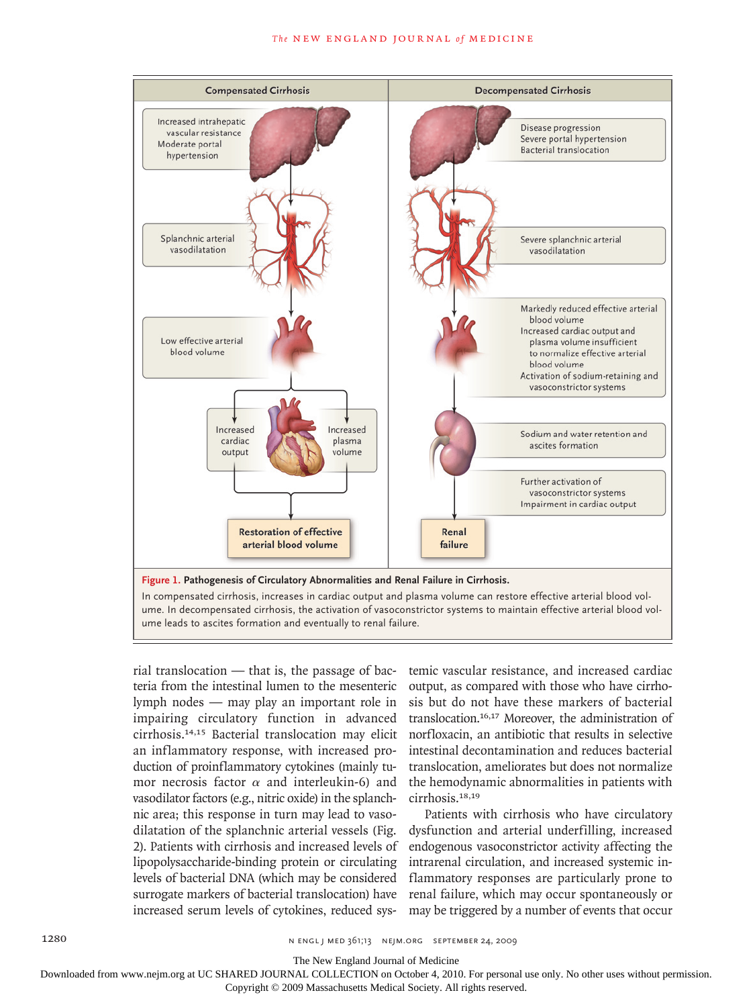

rial translocation — that is, the passage of bacteria from the intestinal lumen to the mesenteric lymph nodes — may play an important role in impairing circulatory function in advanced cirrhosis.14,15 Bacterial translocation may elicit an inflammatory response, with increased production of proinflammatory cytokines (mainly tumor necrosis factor *α* and interleukin-6) and vasodilator factors (e.g., nitric oxide) in the splanchnic area; this response in turn may lead to vasodilatation of the splanchnic arterial vessels (Fig. 2). Patients with cirrhosis and increased levels of lipopolysaccharide-binding protein or circulating levels of bacterial DNA (which may be considered surrogate markers of bacterial translocation) have increased serum levels of cytokines, reduced systemic vascular resistance, and increased cardiac output, as compared with those who have cirrhosis but do not have these markers of bacterial translocation.16,17 Moreover, the administration of norfloxacin, an antibiotic that results in selective intestinal decontamination and reduces bacterial translocation, ameliorates but does not normalize the hemodynamic abnormalities in patients with cirrhosis.<sup>18,19</sup>

Patients with cirrhosis who have circulatory dysfunction and arterial underfilling, increased endogenous vasoconstrictor activity affecting the intrarenal circulation, and increased systemic inflammatory responses are particularly prone to renal failure, which may occur spontaneously or may be triggered by a number of events that occur

The New England Journal of Medicine

Downloaded from www.nejm.org at UC SHARED JOURNAL COLLECTION on October 4, 2010. For personal use only. No other uses without permission.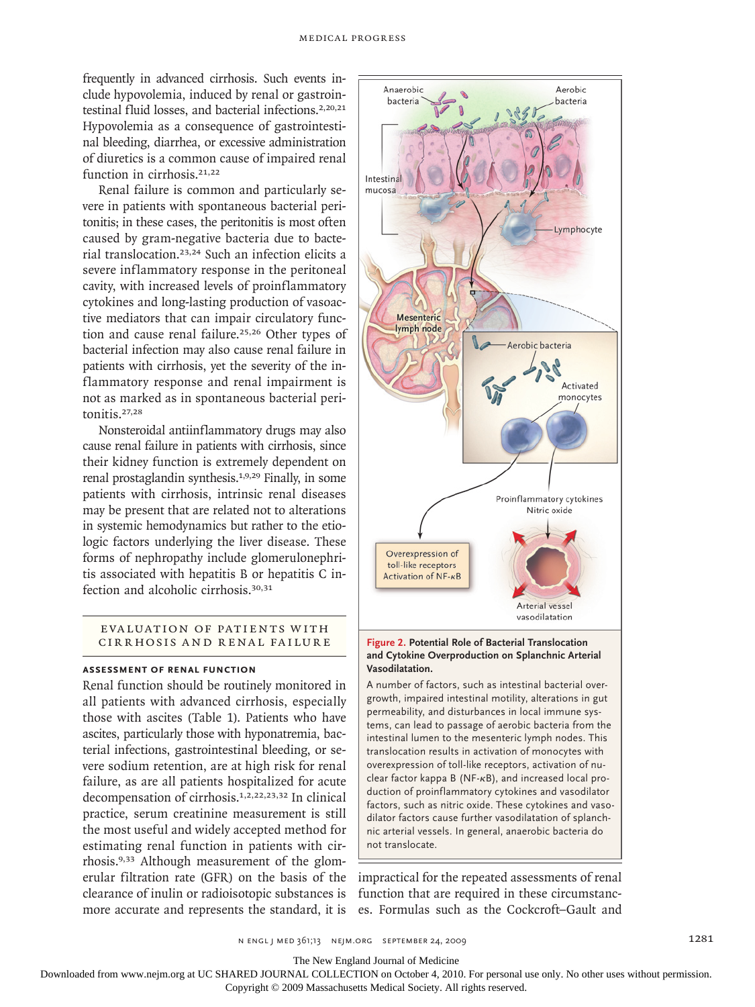frequently in advanced cirrhosis. Such events include hypovolemia, induced by renal or gastrointestinal fluid losses, and bacterial infections.<sup>2,20,21</sup> Hypovolemia as a consequence of gastrointestinal bleeding, diarrhea, or excessive administration of diuretics is a common cause of impaired renal function in cirrhosis.<sup>21,22</sup>

Renal failure is common and particularly severe in patients with spontaneous bacterial peritonitis; in these cases, the peritonitis is most often caused by gram-negative bacteria due to bacterial translocation.23,24 Such an infection elicits a severe inflammatory response in the peritoneal cavity, with increased levels of proinflammatory cytokines and long-lasting production of vasoactive mediators that can impair circulatory function and cause renal failure.<sup>25,26</sup> Other types of bacterial infection may also cause renal failure in patients with cirrhosis, yet the severity of the inflammatory response and renal impairment is not as marked as in spontaneous bacterial peritonitis.27,28

Nonsteroidal antiinflammatory drugs may also cause renal failure in patients with cirrhosis, since their kidney function is extremely dependent on renal prostaglandin synthesis.1,9,29 Finally, in some patients with cirrhosis, intrinsic renal diseases may be present that are related not to alterations in systemic hemodynamics but rather to the etiologic factors underlying the liver disease. These forms of nephropathy include glomerulonephritis associated with hepatitis B or hepatitis C infection and alcoholic cirrhosis.30,31

## EVALUATION OF PATIENTS WITH Cirrhosis and Renal Failure

# **Assessment of Renal Function**

Renal function should be routinely monitored in all patients with advanced cirrhosis, especially those with ascites (Table 1). Patients who have ascites, particularly those with hyponatremia, bacterial infections, gastrointestinal bleeding, or severe sodium retention, are at high risk for renal failure, as are all patients hospitalized for acute decompensation of cirrhosis.1,2,22,23,32 In clinical practice, serum creatinine measurement is still the most useful and widely accepted method for estimating renal function in patients with cirrhosis.9,33 Although measurement of the glomerular filtration rate (GFR) on the basis of the clearance of inulin or radioisotopic substances is more accurate and represents the standard, it is



#### **Figure 2. Potential Role of Bacterial Translocation and Cytokine Overproduction on Splanchnic Arterial Vasodilatation.**

A number of factors, such as intestinal bacterial overgrowth, impaired intestinal motility, alterations in gut permeability, and disturbances in local immune systems, can lead to passage of aerobic bacteria from the intestinal lumen to the mesenteric lymph nodes. This translocation results in activation of monocytes with overexpression of toll-like receptors, activation of nuclear factor kappa B (NF-κB), and increased local production of proinflammatory cytokines and vasodilator factors, such as nitric oxide. These cytokines and vasodilator factors cause further vasodilatation of splanchnic arterial vessels. In general, anaerobic bacteria do not translocate.

impractical for the repeated assessments of renal function that are required in these circumstances. Formulas such as the Cockcroft–Gault and

The New England Journal of Medicine

Downloaded from www.nejm.org at UC SHARED JOURNAL COLLECTION on October 4, 2010. For personal use only. No other uses without permission.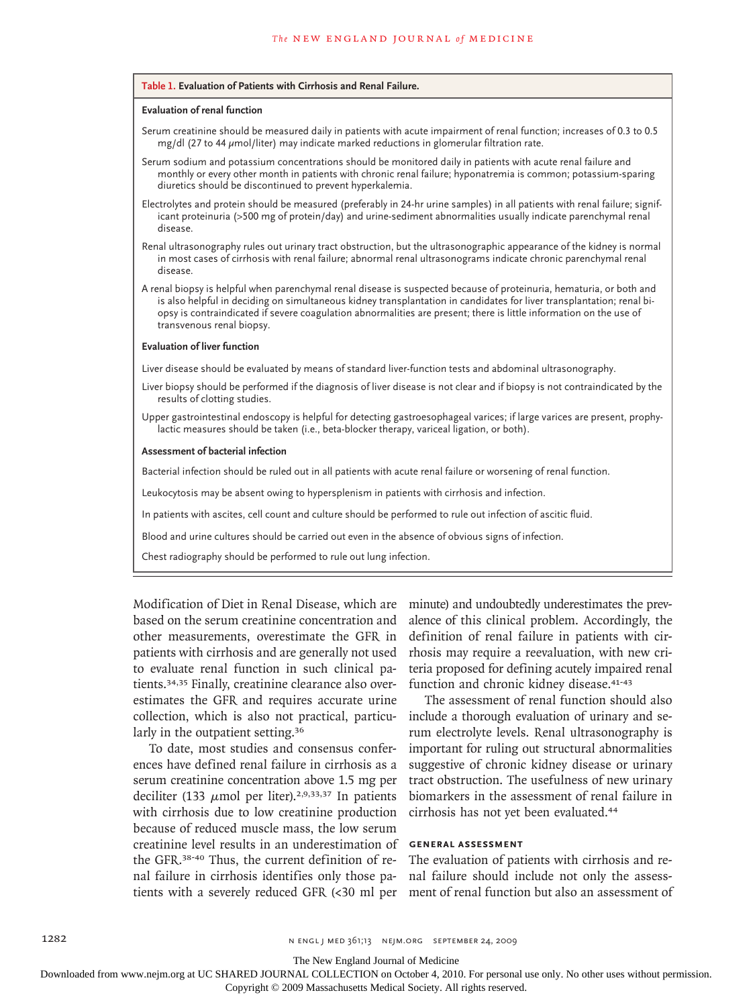#### **Table 1. Evaluation of Patients with Cirrhosis and Renal Failure.**

#### **Evaluation of renal function**

- Serum creatinine should be measured daily in patients with acute impairment of renal function; increases of 0.3 to 0.5 mg/dl (27 to 44 μmol/liter) may indicate marked reductions in glomerular filtration rate.
- Serum sodium and potassium concentrations should be monitored daily in patients with acute renal failure and monthly or every other month in patients with chronic renal failure; hyponatremia is common; potassium-sparing diuretics should be discontinued to prevent hyperkalemia.
- Electrolytes and protein should be measured (preferably in 24-hr urine samples) in all patients with renal failure; significant proteinuria (>500 mg of protein/day) and urine-sediment abnormalities usually indicate parenchymal renal disease.
- Renal ultrasonography rules out urinary tract obstruction, but the ultrasonographic appearance of the kidney is normal in most cases of cirrhosis with renal failure; abnormal renal ultrasonograms indicate chronic parenchymal renal disease.
- A renal biopsy is helpful when parenchymal renal disease is suspected because of proteinuria, hematuria, or both and is also helpful in deciding on simultaneous kidney transplantation in candidates for liver transplantation; renal biopsy is contraindicated if severe coagulation abnormalities are present; there is little information on the use of transvenous renal biopsy.

#### **Evaluation of liver function**

Liver disease should be evaluated by means of standard liver-function tests and abdominal ultrasonography.

- Liver biopsy should be performed if the diagnosis of liver disease is not clear and if biopsy is not contraindicated by the results of clotting studies.
- Upper gastrointestinal endoscopy is helpful for detecting gastroesophageal varices; if large varices are present, prophylactic measures should be taken (i.e., beta-blocker therapy, variceal ligation, or both).

#### **Assessment of bacterial infection**

Bacterial infection should be ruled out in all patients with acute renal failure or worsening of renal function.

Leukocytosis may be absent owing to hypersplenism in patients with cirrhosis and infection.

In patients with ascites, cell count and culture should be performed to rule out infection of ascitic fluid.

Blood and urine cultures should be carried out even in the absence of obvious signs of infection.

Chest radiography should be performed to rule out lung infection.

Modification of Diet in Renal Disease, which are based on the serum creatinine concentration and other measurements, overestimate the GFR in patients with cirrhosis and are generally not used to evaluate renal function in such clinical patients.34,35 Finally, creatinine clearance also overestimates the GFR and requires accurate urine collection, which is also not practical, particularly in the outpatient setting.<sup>36</sup>

To date, most studies and consensus conferences have defined renal failure in cirrhosis as a serum creatinine concentration above 1.5 mg per deciliter (133  $\mu$ mol per liter).<sup>2,9,33,37</sup> In patients with cirrhosis due to low creatinine production because of reduced muscle mass, the low serum creatinine level results in an underestimation of **General Assessment** the GFR.<sup>38-40</sup> Thus, the current definition of re- The evaluation of patients with cirrhosis and renal failure in cirrhosis identifies only those pa-

minute) and undoubtedly underestimates the prevalence of this clinical problem. Accordingly, the definition of renal failure in patients with cirrhosis may require a reevaluation, with new criteria proposed for defining acutely impaired renal function and chronic kidney disease.41-43

The assessment of renal function should also include a thorough evaluation of urinary and serum electrolyte levels. Renal ultrasonography is important for ruling out structural abnormalities suggestive of chronic kidney disease or urinary tract obstruction. The usefulness of new urinary biomarkers in the assessment of renal failure in cirrhosis has not yet been evaluated.<sup>44</sup>

tients with a severely reduced GFR (<30 ml per ment of renal function but also an assessment of nal failure should include not only the assess-

The New England Journal of Medicine

Downloaded from www.nejm.org at UC SHARED JOURNAL COLLECTION on October 4, 2010. For personal use only. No other uses without permission.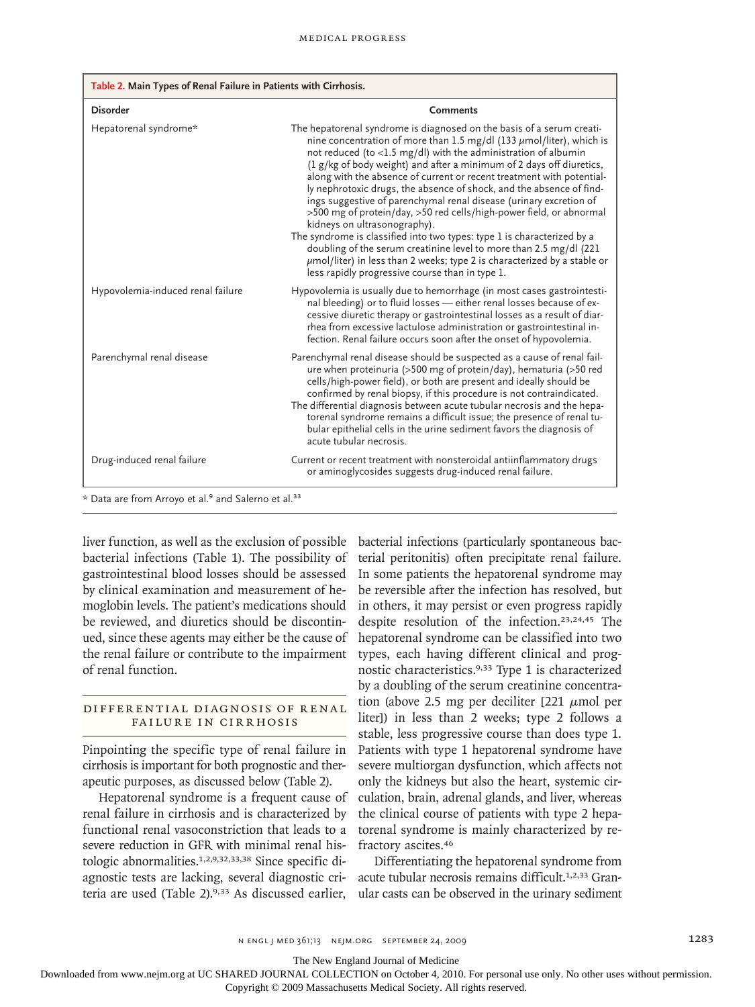|                                                                                                                                                                                                                                                                                                                                                                                                                                                                                                                                                                                                                                                                                                                                                                                                                                                                                                                                          | Table 2. Main Types of Renal Failure in Patients with Cirrhosis. |  |  |
|------------------------------------------------------------------------------------------------------------------------------------------------------------------------------------------------------------------------------------------------------------------------------------------------------------------------------------------------------------------------------------------------------------------------------------------------------------------------------------------------------------------------------------------------------------------------------------------------------------------------------------------------------------------------------------------------------------------------------------------------------------------------------------------------------------------------------------------------------------------------------------------------------------------------------------------|------------------------------------------------------------------|--|--|
| <b>Disorder</b><br><b>Comments</b>                                                                                                                                                                                                                                                                                                                                                                                                                                                                                                                                                                                                                                                                                                                                                                                                                                                                                                       |                                                                  |  |  |
| The hepatorenal syndrome is diagnosed on the basis of a serum creati-<br>Hepatorenal syndrome*<br>nine concentration of more than 1.5 mg/dl (133 $\mu$ mol/liter), which is<br>not reduced (to <1.5 mg/dl) with the administration of albumin<br>(1 g/kg of body weight) and after a minimum of 2 days off diuretics,<br>along with the absence of current or recent treatment with potential-<br>ly nephrotoxic drugs, the absence of shock, and the absence of find-<br>ings suggestive of parenchymal renal disease (urinary excretion of<br>>500 mg of protein/day, >50 red cells/high-power field, or abnormal<br>kidneys on ultrasonography).<br>The syndrome is classified into two types: type 1 is characterized by a<br>doubling of the serum creatinine level to more than 2.5 mg/dl (221<br>$\mu$ mol/liter) in less than 2 weeks; type 2 is characterized by a stable or<br>less rapidly progressive course than in type 1. |                                                                  |  |  |
| Hypovolemia-induced renal failure<br>Hypovolemia is usually due to hemorrhage (in most cases gastrointesti-<br>nal bleeding) or to fluid losses - either renal losses because of ex-<br>cessive diuretic therapy or gastrointestinal losses as a result of diar-<br>rhea from excessive lactulose administration or gastrointestinal in-<br>fection. Renal failure occurs soon after the onset of hypovolemia.                                                                                                                                                                                                                                                                                                                                                                                                                                                                                                                           |                                                                  |  |  |
| Parenchymal renal disease<br>Parenchymal renal disease should be suspected as a cause of renal fail-<br>ure when proteinuria (>500 mg of protein/day), hematuria (>50 red<br>cells/high-power field), or both are present and ideally should be<br>confirmed by renal biopsy, if this procedure is not contraindicated.<br>The differential diagnosis between acute tubular necrosis and the hepa-<br>torenal syndrome remains a difficult issue; the presence of renal tu-<br>bular epithelial cells in the urine sediment favors the diagnosis of<br>acute tubular necrosis.                                                                                                                                                                                                                                                                                                                                                           |                                                                  |  |  |
| Drug-induced renal failure<br>Current or recent treatment with nonsteroidal antiinflammatory drugs<br>or aminoglycosides suggests drug-induced renal failure.                                                                                                                                                                                                                                                                                                                                                                                                                                                                                                                                                                                                                                                                                                                                                                            |                                                                  |  |  |

Data are from Arroyo et al.<sup>9</sup> and Salerno et al.

liver function, as well as the exclusion of possible bacterial infections (Table 1). The possibility of gastrointestinal blood losses should be assessed by clinical examination and measurement of hemoglobin levels. The patient's medications should be reviewed, and diuretics should be discontinued, since these agents may either be the cause of the renal failure or contribute to the impairment of renal function.

# DIFFERENTIAL DIAGNOSIS OF RENAL Failure in Cirrhosis

Pinpointing the specific type of renal failure in cirrhosis is important for both prognostic and therapeutic purposes, as discussed below (Table 2).

Hepatorenal syndrome is a frequent cause of renal failure in cirrhosis and is characterized by functional renal vasoconstriction that leads to a severe reduction in GFR with minimal renal histologic abnormalities.1,2,9,32,33,38 Since specific diagnostic tests are lacking, several diagnostic criteria are used (Table 2).<sup>9,33</sup> As discussed earlier,

bacterial infections (particularly spontaneous bacterial peritonitis) often precipitate renal failure. In some patients the hepatorenal syndrome may be reversible after the infection has resolved, but in others, it may persist or even progress rapidly despite resolution of the infection.23,24,45 The hepatorenal syndrome can be classified into two types, each having different clinical and prognostic characteristics.9,33 Type 1 is characterized by a doubling of the serum creatinine concentration (above 2.5 mg per deciliter  $[221 \mu \text{mol}]$  per liter]) in less than 2 weeks; type 2 follows a stable, less progressive course than does type 1. Patients with type 1 hepatorenal syndrome have severe multiorgan dysfunction, which affects not only the kidneys but also the heart, systemic circulation, brain, adrenal glands, and liver, whereas the clinical course of patients with type 2 hepatorenal syndrome is mainly characterized by refractory ascites.<sup>46</sup>

Differentiating the hepatorenal syndrome from acute tubular necrosis remains difficult.<sup>1,2,33</sup> Granular casts can be observed in the urinary sediment

The New England Journal of Medicine

Downloaded from www.nejm.org at UC SHARED JOURNAL COLLECTION on October 4, 2010. For personal use only. No other uses without permission.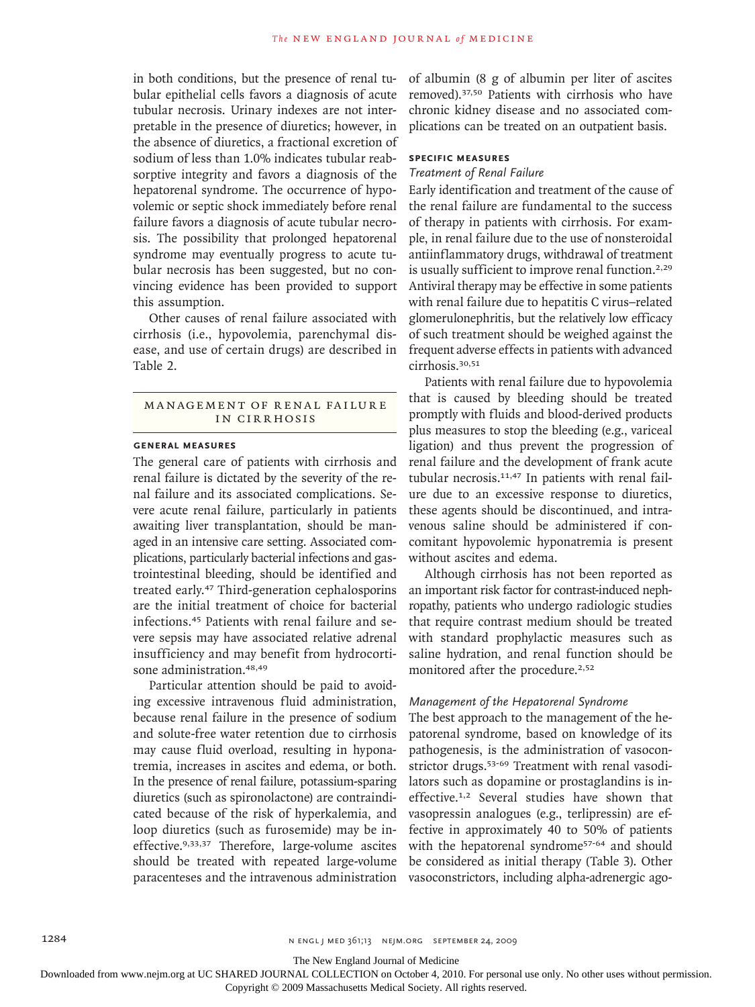in both conditions, but the presence of renal tubular epithelial cells favors a diagnosis of acute tubular necrosis. Urinary indexes are not interpretable in the presence of diuretics; however, in the absence of diuretics, a fractional excretion of sodium of less than 1.0% indicates tubular reabsorptive integrity and favors a diagnosis of the hepatorenal syndrome. The occurrence of hypovolemic or septic shock immediately before renal failure favors a diagnosis of acute tubular necrosis. The possibility that prolonged hepatorenal syndrome may eventually progress to acute tubular necrosis has been suggested, but no convincing evidence has been provided to support this assumption.

Other causes of renal failure associated with cirrhosis (i.e., hypovolemia, parenchymal disease, and use of certain drugs) are described in Table 2.

# MANAGEMENT OF RENAL FAILURE in Cirrhosis

## **General Measures**

The general care of patients with cirrhosis and renal failure is dictated by the severity of the renal failure and its associated complications. Severe acute renal failure, particularly in patients awaiting liver transplantation, should be managed in an intensive care setting. Associated complications, particularly bacterial infections and gastrointestinal bleeding, should be identified and treated early.47 Third-generation cephalosporins are the initial treatment of choice for bacterial infections.45 Patients with renal failure and severe sepsis may have associated relative adrenal insufficiency and may benefit from hydrocortisone administration.<sup>48,49</sup>

Particular attention should be paid to avoiding excessive intravenous fluid administration, because renal failure in the presence of sodium and solute-free water retention due to cirrhosis may cause fluid overload, resulting in hyponatremia, increases in ascites and edema, or both. In the presence of renal failure, potassium-sparing diuretics (such as spironolactone) are contraindicated because of the risk of hyperkalemia, and loop diuretics (such as furosemide) may be ineffective.9,33,37 Therefore, large-volume ascites should be treated with repeated large-volume paracenteses and the intravenous administration of albumin (8 g of albumin per liter of ascites removed).37,50 Patients with cirrhosis who have chronic kidney disease and no associated complications can be treated on an outpatient basis.

#### **Specific Measures**

#### *Treatment of Renal Failure*

Early identification and treatment of the cause of the renal failure are fundamental to the success of therapy in patients with cirrhosis. For example, in renal failure due to the use of nonsteroidal antiinflammatory drugs, withdrawal of treatment is usually sufficient to improve renal function.<sup>2,29</sup> Antiviral therapy may be effective in some patients with renal failure due to hepatitis C virus–related glomerulonephritis, but the relatively low efficacy of such treatment should be weighed against the frequent adverse effects in patients with advanced cirrhosis.30,51

Patients with renal failure due to hypovolemia that is caused by bleeding should be treated promptly with fluids and blood-derived products plus measures to stop the bleeding (e.g., variceal ligation) and thus prevent the progression of renal failure and the development of frank acute tubular necrosis.11,47 In patients with renal failure due to an excessive response to diuretics, these agents should be discontinued, and intravenous saline should be administered if concomitant hypovolemic hyponatremia is present without ascites and edema.

Although cirrhosis has not been reported as an important risk factor for contrast-induced nephropathy, patients who undergo radiologic studies that require contrast medium should be treated with standard prophylactic measures such as saline hydration, and renal function should be monitored after the procedure.<sup>2,52</sup>

#### *Management of the Hepatorenal Syndrome*

The best approach to the management of the hepatorenal syndrome, based on knowledge of its pathogenesis, is the administration of vasoconstrictor drugs.53-69 Treatment with renal vasodilators such as dopamine or prostaglandins is ineffective.1,2 Several studies have shown that vasopressin analogues (e.g., terlipressin) are effective in approximately 40 to 50% of patients with the hepatorenal syndrome<sup>57-64</sup> and should be considered as initial therapy (Table 3). Other vasoconstrictors, including alpha-adrenergic ago-

The New England Journal of Medicine

Downloaded from www.nejm.org at UC SHARED JOURNAL COLLECTION on October 4, 2010. For personal use only. No other uses without permission.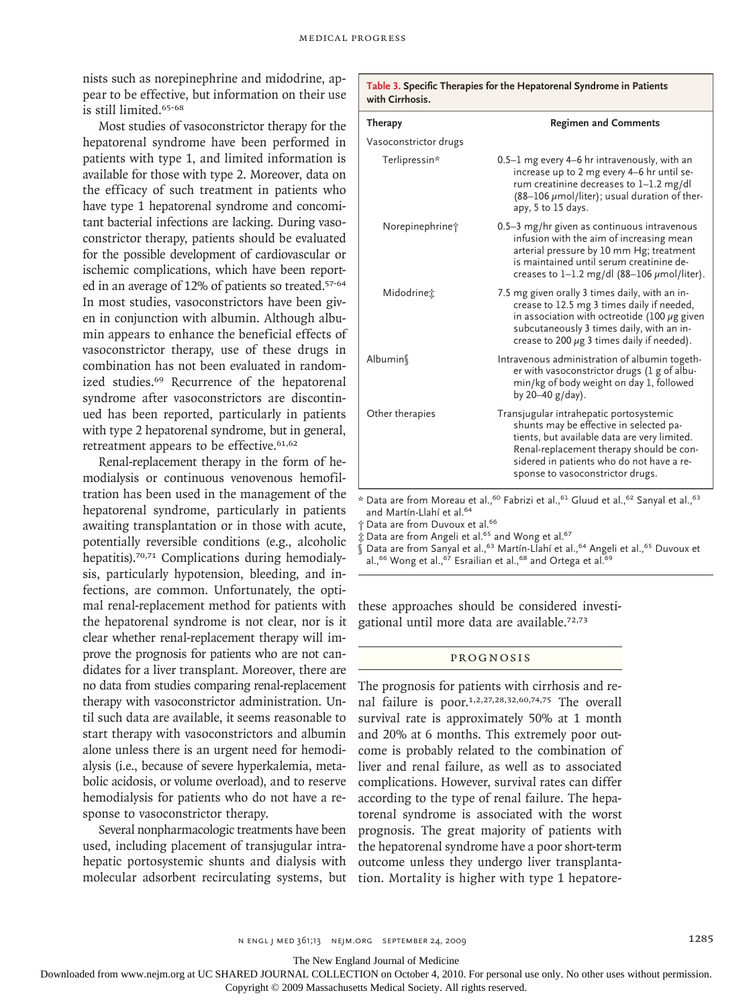nists such as norepinephrine and midodrine, appear to be effective, but information on their use is still limited.65-68

Most studies of vasoconstrictor therapy for the hepatorenal syndrome have been performed in patients with type 1, and limited information is available for those with type 2. Moreover, data on the efficacy of such treatment in patients who have type 1 hepatorenal syndrome and concomitant bacterial infections are lacking. During vasoconstrictor therapy, patients should be evaluated for the possible development of cardiovascular or ischemic complications, which have been reported in an average of 12% of patients so treated.57-64 In most studies, vasoconstrictors have been given in conjunction with albumin. Although albumin appears to enhance the beneficial effects of vasoconstrictor therapy, use of these drugs in combination has not been evaluated in randomized studies.<sup>69</sup> Recurrence of the hepatorenal syndrome after vasoconstrictors are discontinued has been reported, particularly in patients with type 2 hepatorenal syndrome, but in general, retreatment appears to be effective.<sup>61,62</sup>

Renal-replacement therapy in the form of hemodialysis or continuous venovenous hemofiltration has been used in the management of the hepatorenal syndrome, particularly in patients awaiting transplantation or in those with acute, potentially reversible conditions (e.g., alcoholic hepatitis).70,71 Complications during hemodialysis, particularly hypotension, bleeding, and infections, are common. Unfortunately, the optimal renal-replacement method for patients with the hepatorenal syndrome is not clear, nor is it clear whether renal-replacement therapy will improve the prognosis for patients who are not candidates for a liver transplant. Moreover, there are no data from studies comparing renal-replacement therapy with vasoconstrictor administration. Until such data are available, it seems reasonable to start therapy with vasoconstrictors and albumin alone unless there is an urgent need for hemodialysis (i.e., because of severe hyperkalemia, metabolic acidosis, or volume overload), and to reserve hemodialysis for patients who do not have a response to vasoconstrictor therapy.

Several nonpharmacologic treatments have been used, including placement of transjugular intrahepatic portosystemic shunts and dialysis with molecular adsorbent recirculating systems, but tion. Mortality is higher with type 1 hepatore-

| with Cirrhosis.             |                                                                                                                                                                                                                                                                 |
|-----------------------------|-----------------------------------------------------------------------------------------------------------------------------------------------------------------------------------------------------------------------------------------------------------------|
| <b>Therapy</b>              | <b>Regimen and Comments</b>                                                                                                                                                                                                                                     |
| Vasoconstrictor drugs       |                                                                                                                                                                                                                                                                 |
| Terlipressin*               | 0.5-1 mg every 4-6 hr intravenously, with an<br>increase up to 2 mg every 4–6 hr until se-<br>rum creatinine decreases to 1-1.2 mg/dl<br>$(88-106 \mu m o1/liter)$ ; usual duration of ther-<br>apy, 5 to 15 days.                                              |
| Norepinephrine <sup>+</sup> | 0.5–3 mg/hr given as continuous intravenous<br>infusion with the aim of increasing mean<br>arterial pressure by 10 mm Hg; treatment<br>is maintained until serum creatinine de-<br>creases to 1–1.2 mg/dl $(88-106 \mu \text{mol/liter})$ .                     |
| Midodriner                  | 7.5 mg given orally 3 times daily, with an in-<br>crease to 12.5 mg 3 times daily if needed,<br>in association with octreotide $(100 \mu g)$ given<br>subcutaneously 3 times daily, with an in-<br>crease to 200 $\mu$ g 3 times daily if needed).              |
| Albumin                     | Intravenous administration of albumin togeth-<br>er with vasoconstrictor drugs (1 g of albu-<br>min/kg of body weight on day 1, followed<br>by 20-40 g/day).                                                                                                    |
| Other therapies             | Transjugular intrahepatic portosystemic<br>shunts may be effective in selected pa-<br>tients, but available data are very limited.<br>Renal-replacement therapy should be con-<br>sidered in patients who do not have a re-<br>sponse to vasoconstrictor drugs. |

\* Data are from Moreau et al.,<sup>60</sup> Fabrizi et al.,<sup>61</sup> Gluud et al.,<sup>62</sup> Sanyal et al.,<sup>63</sup> and Martín-Llahí et al.<sup>64</sup>

† Data are from Duvoux et al.<sup>66</sup>

 $\ddot{\ddot{\mathbf{r}}}$  Data are from Angeli et al.<sup>65</sup> and Wong et al.<sup>67</sup>

 $\dot{\S}$  Data are from Sanyal et al., $^{63}$  Martín-Llahí et al., $^{64}$  Angeli et al., $^{65}$  Duvoux et al.,<sup>66</sup> Wong et al.,<sup>67</sup> Esrailian et al.,<sup>68</sup> and Ortega et al.<sup>69</sup>

these approaches should be considered investigational until more data are available.72,73

#### Prognosis

The prognosis for patients with cirrhosis and renal failure is poor.1,2,27,28,32,60,74,75 The overall survival rate is approximately 50% at 1 month and 20% at 6 months. This extremely poor outcome is probably related to the combination of liver and renal failure, as well as to associated complications. However, survival rates can differ according to the type of renal failure. The hepatorenal syndrome is associated with the worst prognosis. The great majority of patients with the hepatorenal syndrome have a poor short-term outcome unless they undergo liver transplanta-

n engl j med 361;13 nejm.org september 24, 2009 1285

The New England Journal of Medicine

Downloaded from www.nejm.org at UC SHARED JOURNAL COLLECTION on October 4, 2010. For personal use only. No other uses without permission.

Copyright © 2009 Massachusetts Medical Society. All rights reserved.

# **Table 3. Specific Therapies for the Hepatorenal Syndrome in Patients**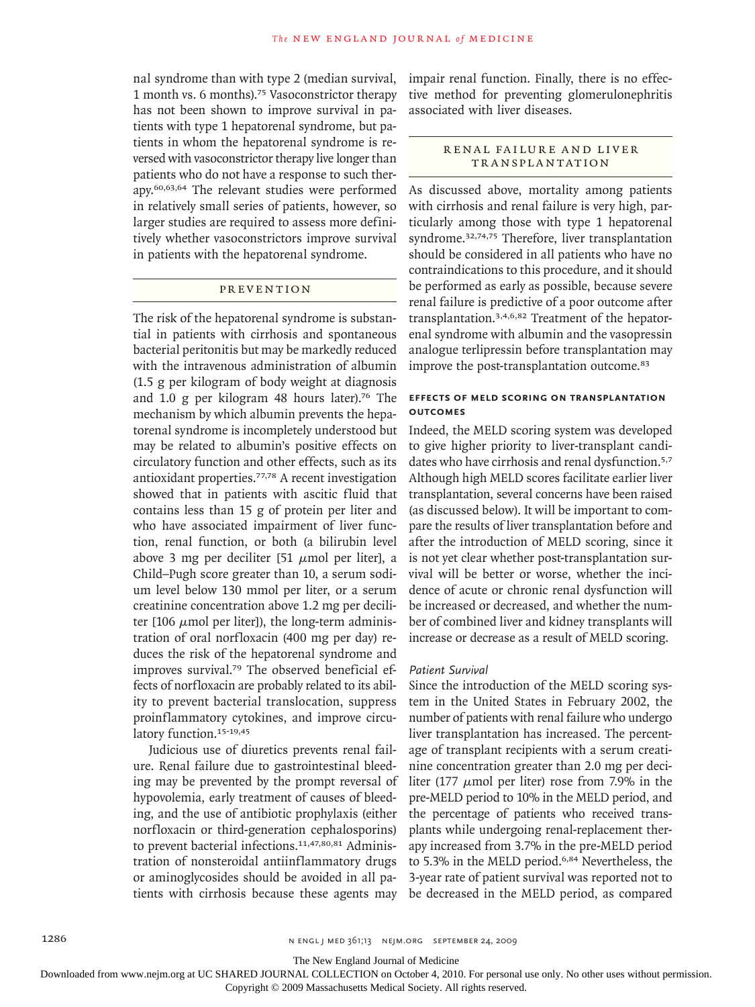nal syndrome than with type 2 (median survival, 1 month vs. 6 months).75 Vasoconstrictor therapy has not been shown to improve survival in patients with type 1 hepatorenal syndrome, but patients in whom the hepatorenal syndrome is reversed with vasoconstrictor therapy live longer than patients who do not have a response to such therapy.60,63,64 The relevant studies were performed in relatively small series of patients, however, so larger studies are required to assess more definitively whether vasoconstrictors improve survival in patients with the hepatorenal syndrome.

# **PREVENTION**

The risk of the hepatorenal syndrome is substantial in patients with cirrhosis and spontaneous bacterial peritonitis but may be markedly reduced with the intravenous administration of albumin (1.5 g per kilogram of body weight at diagnosis and 1.0 g per kilogram 48 hours later).<sup>76</sup> The mechanism by which albumin prevents the hepatorenal syndrome is incompletely understood but may be related to albumin's positive effects on circulatory function and other effects, such as its antioxidant properties.77,78 A recent investigation showed that in patients with ascitic fluid that contains less than 15 g of protein per liter and who have associated impairment of liver function, renal function, or both (a bilirubin level above 3 mg per deciliter [51  $\mu$ mol per liter], a Child–Pugh score greater than 10, a serum sodium level below 130 mmol per liter, or a serum creatinine concentration above 1.2 mg per deciliter [106  $\mu$ mol per liter]), the long-term administration of oral norfloxacin (400 mg per day) reduces the risk of the hepatorenal syndrome and improves survival.79 The observed beneficial effects of norfloxacin are probably related to its ability to prevent bacterial translocation, suppress proinflammatory cytokines, and improve circulatory function.<sup>15-19,45</sup>

Judicious use of diuretics prevents renal failure. Renal failure due to gastrointestinal bleeding may be prevented by the prompt reversal of hypovolemia, early treatment of causes of bleeding, and the use of antibiotic prophylaxis (either norfloxacin or third-generation cephalosporins) to prevent bacterial infections.<sup>11,47,80,81</sup> Administration of nonsteroidal antiinflammatory drugs or aminoglycosides should be avoided in all patients with cirrhosis because these agents may

impair renal function. Finally, there is no effective method for preventing glomerulonephritis associated with liver diseases.

# R ena l Fa ilur e a nd Li v er Transplantation

As discussed above, mortality among patients with cirrhosis and renal failure is very high, particularly among those with type 1 hepatorenal syndrome.32,74,75 Therefore, liver transplantation should be considered in all patients who have no contraindications to this procedure, and it should be performed as early as possible, because severe renal failure is predictive of a poor outcome after transplantation.3,4,6,82 Treatment of the hepatorenal syndrome with albumin and the vasopressin analogue terlipressin before transplantation may improve the post-transplantation outcome.<sup>83</sup>

# **Effects of MELD Scoring on Transplantation Outcomes**

Indeed, the MELD scoring system was developed to give higher priority to liver-transplant candidates who have cirrhosis and renal dysfunction.<sup>5,7</sup> Although high MELD scores facilitate earlier liver transplantation, several concerns have been raised (as discussed below). It will be important to compare the results of liver transplantation before and after the introduction of MELD scoring, since it is not yet clear whether post-transplantation survival will be better or worse, whether the incidence of acute or chronic renal dysfunction will be increased or decreased, and whether the number of combined liver and kidney transplants will increase or decrease as a result of MELD scoring.

#### *Patient Survival*

Since the introduction of the MELD scoring system in the United States in February 2002, the number of patients with renal failure who undergo liver transplantation has increased. The percentage of transplant recipients with a serum creatinine concentration greater than 2.0 mg per deciliter (177  $\mu$ mol per liter) rose from 7.9% in the pre-MELD period to 10% in the MELD period, and the percentage of patients who received transplants while undergoing renal-replacement therapy increased from 3.7% in the pre-MELD period to 5.3% in the MELD period.<sup>6,84</sup> Nevertheless, the 3-year rate of patient survival was reported not to be decreased in the MELD period, as compared

The New England Journal of Medicine

Downloaded from www.nejm.org at UC SHARED JOURNAL COLLECTION on October 4, 2010. For personal use only. No other uses without permission.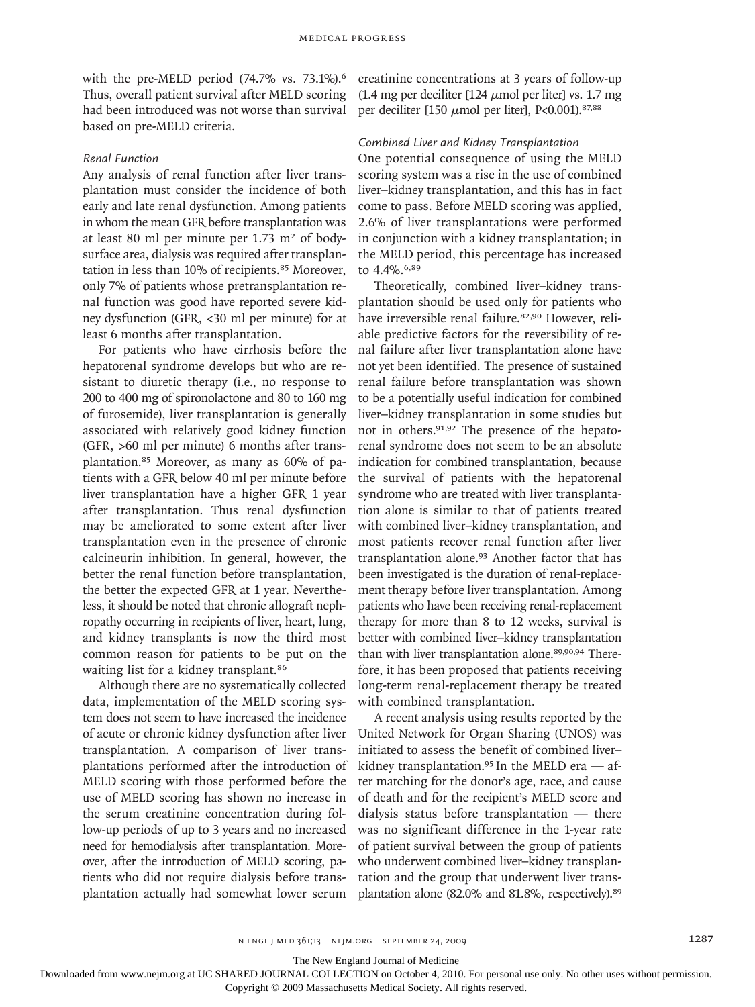with the pre-MELD period  $(74.7\%$  vs.  $73.1\%$ .<sup>6</sup> Thus, overall patient survival after MELD scoring had been introduced was not worse than survival based on pre-MELD criteria.

## *Renal Function*

Any analysis of renal function after liver transplantation must consider the incidence of both early and late renal dysfunction. Among patients in whom the mean GFR before transplantation was at least 80 ml per minute per 1.73 m2 of bodysurface area, dialysis was required after transplantation in less than 10% of recipients.<sup>85</sup> Moreover, only 7% of patients whose pretransplantation renal function was good have reported severe kidney dysfunction (GFR, <30 ml per minute) for at least 6 months after transplantation.

For patients who have cirrhosis before the hepatorenal syndrome develops but who are resistant to diuretic therapy (i.e., no response to 200 to 400 mg of spironolactone and 80 to 160 mg of furosemide), liver transplantation is generally associated with relatively good kidney function (GFR, >60 ml per minute) 6 months after transplantation.85 Moreover, as many as 60% of patients with a GFR below 40 ml per minute before liver transplantation have a higher GFR 1 year after transplantation. Thus renal dysfunction may be ameliorated to some extent after liver transplantation even in the presence of chronic calcineurin inhibition. In general, however, the better the renal function before transplantation, the better the expected GFR at 1 year. Nevertheless, it should be noted that chronic allograft nephropathy occurring in recipients of liver, heart, lung, and kidney transplants is now the third most common reason for patients to be put on the waiting list for a kidney transplant.<sup>86</sup>

Although there are no systematically collected data, implementation of the MELD scoring system does not seem to have increased the incidence of acute or chronic kidney dysfunction after liver transplantation. A comparison of liver transplantations performed after the introduction of MELD scoring with those performed before the use of MELD scoring has shown no increase in the serum creatinine concentration during follow-up periods of up to 3 years and no increased need for hemodialysis after transplantation. Moreover, after the introduction of MELD scoring, patients who did not require dialysis before transplantation actually had somewhat lower serum creatinine concentrations at 3 years of follow-up (1.4 mg per deciliter [124  $\mu$ mol per liter] vs. 1.7 mg per deciliter [150  $\mu$ mol per liter], P<0.001).<sup>87,88</sup>

# *Combined Liver and Kidney Transplantation*

One potential consequence of using the MELD scoring system was a rise in the use of combined liver–kidney transplantation, and this has in fact come to pass. Before MELD scoring was applied, 2.6% of liver transplantations were performed in conjunction with a kidney transplantation; in the MELD period, this percentage has increased to 4.4%.<sup>6,89</sup>

Theoretically, combined liver–kidney transplantation should be used only for patients who have irreversible renal failure.<sup>82,90</sup> However, reliable predictive factors for the reversibility of renal failure after liver transplantation alone have not yet been identified. The presence of sustained renal failure before transplantation was shown to be a potentially useful indication for combined liver–kidney transplantation in some studies but not in others.91,92 The presence of the hepatorenal syndrome does not seem to be an absolute indication for combined transplantation, because the survival of patients with the hepatorenal syndrome who are treated with liver transplantation alone is similar to that of patients treated with combined liver–kidney transplantation, and most patients recover renal function after liver transplantation alone.93 Another factor that has been investigated is the duration of renal-replacement therapy before liver transplantation. Among patients who have been receiving renal-replacement therapy for more than 8 to 12 weeks, survival is better with combined liver–kidney transplantation than with liver transplantation alone.<sup>89,90,94</sup> Therefore, it has been proposed that patients receiving long-term renal-replacement therapy be treated with combined transplantation.

A recent analysis using results reported by the United Network for Organ Sharing (UNOS) was initiated to assess the benefit of combined liver– kidney transplantation.<sup>95</sup> In the MELD era  $-$  after matching for the donor's age, race, and cause of death and for the recipient's MELD score and dialysis status before transplantation — there was no significant difference in the 1-year rate of patient survival between the group of patients who underwent combined liver–kidney transplantation and the group that underwent liver transplantation alone (82.0% and 81.8%, respectively).<sup>89</sup>

The New England Journal of Medicine

Downloaded from www.nejm.org at UC SHARED JOURNAL COLLECTION on October 4, 2010. For personal use only. No other uses without permission.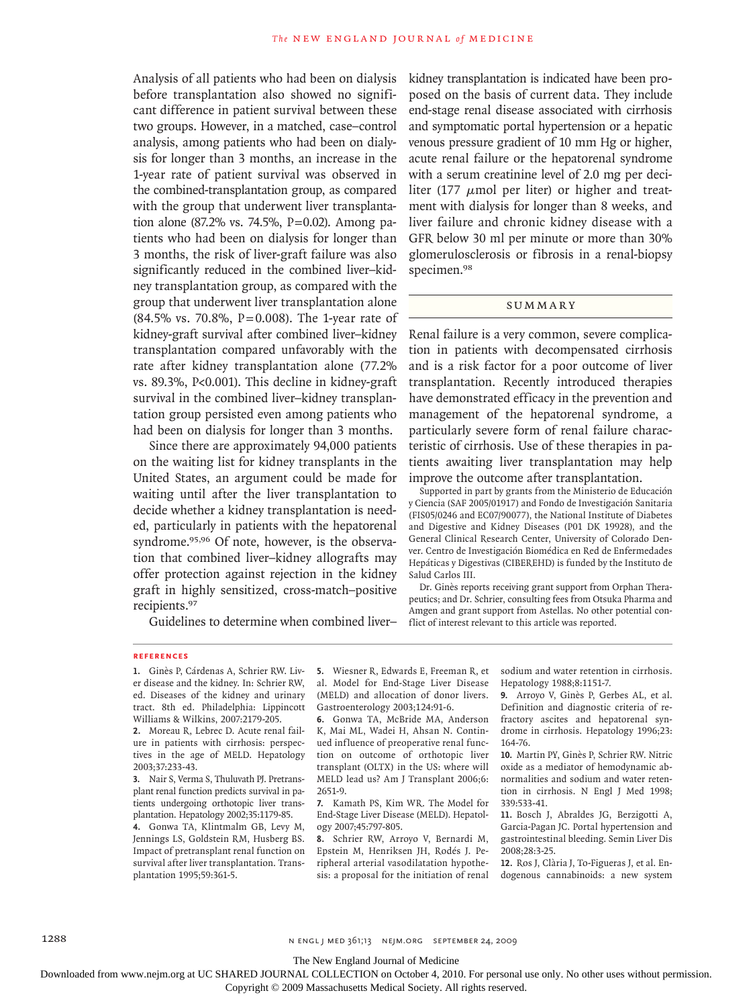Analysis of all patients who had been on dialysis before transplantation also showed no significant difference in patient survival between these two groups. However, in a matched, case–control analysis, among patients who had been on dialysis for longer than 3 months, an increase in the 1-year rate of patient survival was observed in the combined-transplantation group, as compared with the group that underwent liver transplantation alone (87.2% vs. 74.5%, P=0.02). Among patients who had been on dialysis for longer than 3 months, the risk of liver-graft failure was also significantly reduced in the combined liver–kidney transplantation group, as compared with the group that underwent liver transplantation alone  $(84.5\% \text{ vs. } 70.8\%, \text{ P} = 0.008)$ . The 1-year rate of kidney-graft survival after combined liver–kidney transplantation compared unfavorably with the rate after kidney transplantation alone (77.2% vs. 89.3%, P<0.001). This decline in kidney-graft survival in the combined liver–kidney transplantation group persisted even among patients who had been on dialysis for longer than 3 months.

Since there are approximately 94,000 patients on the waiting list for kidney transplants in the United States, an argument could be made for waiting until after the liver transplantation to decide whether a kidney transplantation is needed, particularly in patients with the hepatorenal syndrome.95,96 Of note, however, is the observation that combined liver–kidney allografts may offer protection against rejection in the kidney graft in highly sensitized, cross-match–positive recipients.<sup>97</sup>

Guidelines to determine when combined liver–

kidney transplantation is indicated have been proposed on the basis of current data. They include end-stage renal disease associated with cirrhosis and symptomatic portal hypertension or a hepatic venous pressure gradient of 10 mm Hg or higher, acute renal failure or the hepatorenal syndrome with a serum creatinine level of 2.0 mg per deciliter (177  $\mu$ mol per liter) or higher and treatment with dialysis for longer than 8 weeks, and liver failure and chronic kidney disease with a GFR below 30 ml per minute or more than 30% glomerulosclerosis or fibrosis in a renal-biopsy specimen.<sup>98</sup>

#### **SUMMARY**

Renal failure is a very common, severe complication in patients with decompensated cirrhosis and is a risk factor for a poor outcome of liver transplantation. Recently introduced therapies have demonstrated efficacy in the prevention and management of the hepatorenal syndrome, a particularly severe form of renal failure characteristic of cirrhosis. Use of these therapies in patients awaiting liver transplantation may help improve the outcome after transplantation.

Supported in part by grants from the Ministerio de Educación y Ciencia (SAF 2005/01917) and Fondo de Investigación Sanitaria (FIS05/0246 and EC07/90077), the National Institute of Diabetes and Digestive and Kidney Diseases (P01 DK 19928), and the General Clinical Research Center, University of Colorado Denver. Centro de Investigación Biomédica en Red de Enfermedades Hepáticas y Digestivas (CIBEREHD) is funded by the Instituto de Salud Carlos III.

Dr. Ginès reports receiving grant support from Orphan Therapeutics; and Dr. Schrier, consulting fees from Otsuka Pharma and Amgen and grant support from Astellas. No other potential conflict of interest relevant to this article was reported.

#### **References**

**1.** Ginès P, Cárdenas A, Schrier RW. Liver disease and the kidney. In: Schrier RW, ed. Diseases of the kidney and urinary tract. 8th ed. Philadelphia: Lippincott Williams & Wilkins, 2007:2179-205.

**2.** Moreau R, Lebrec D. Acute renal failure in patients with cirrhosis: perspectives in the age of MELD. Hepatology 2003;37:233-43.

**3.** Nair S, Verma S, Thuluvath PJ. Pretransplant renal function predicts survival in patients undergoing orthotopic liver transplantation. Hepatology 2002;35:1179-85.

**4.** Gonwa TA, Klintmalm GB, Levy M, Jennings LS, Goldstein RM, Husberg BS. Impact of pretransplant renal function on survival after liver transplantation. Transplantation 1995;59:361-5.

**5.** Wiesner R, Edwards E, Freeman R, et al. Model for End-Stage Liver Disease (MELD) and allocation of donor livers. Gastroenterology 2003;124:91-6.

**6.** Gonwa TA, McBride MA, Anderson K, Mai ML, Wadei H, Ahsan N. Continued influence of preoperative renal function on outcome of orthotopic liver transplant (OLTX) in the US: where will MELD lead us? Am J Transplant 2006;6: 2651-9.

**7.** Kamath PS, Kim WR. The Model for End-Stage Liver Disease (MELD). Hepatology 2007;45:797-805.

**8.** Schrier RW, Arroyo V, Bernardi M, Epstein M, Henriksen JH, Rodés J. Peripheral arterial vasodilatation hypothesis: a proposal for the initiation of renal

sodium and water retention in cirrhosis. Hepatology 1988;8:1151-7.

**9.** Arroyo V, Ginès P, Gerbes AL, et al. Definition and diagnostic criteria of refractory ascites and hepatorenal syndrome in cirrhosis. Hepatology 1996;23: 164-76.

**10.** Martin PY, Ginès P, Schrier RW. Nitric oxide as a mediator of hemodynamic abnormalities and sodium and water retention in cirrhosis. N Engl J Med 1998; 339:533-41.

**11.** Bosch J, Abraldes JG, Berzigotti A, Garcia-Pagan JC. Portal hypertension and gastrointestinal bleeding. Semin Liver Dis 2008;28:3-25.

**12.** Ros J, Clària J, To-Figueras J, et al. Endogenous cannabinoids: a new system

The New England Journal of Medicine

Downloaded from www.nejm.org at UC SHARED JOURNAL COLLECTION on October 4, 2010. For personal use only. No other uses without permission.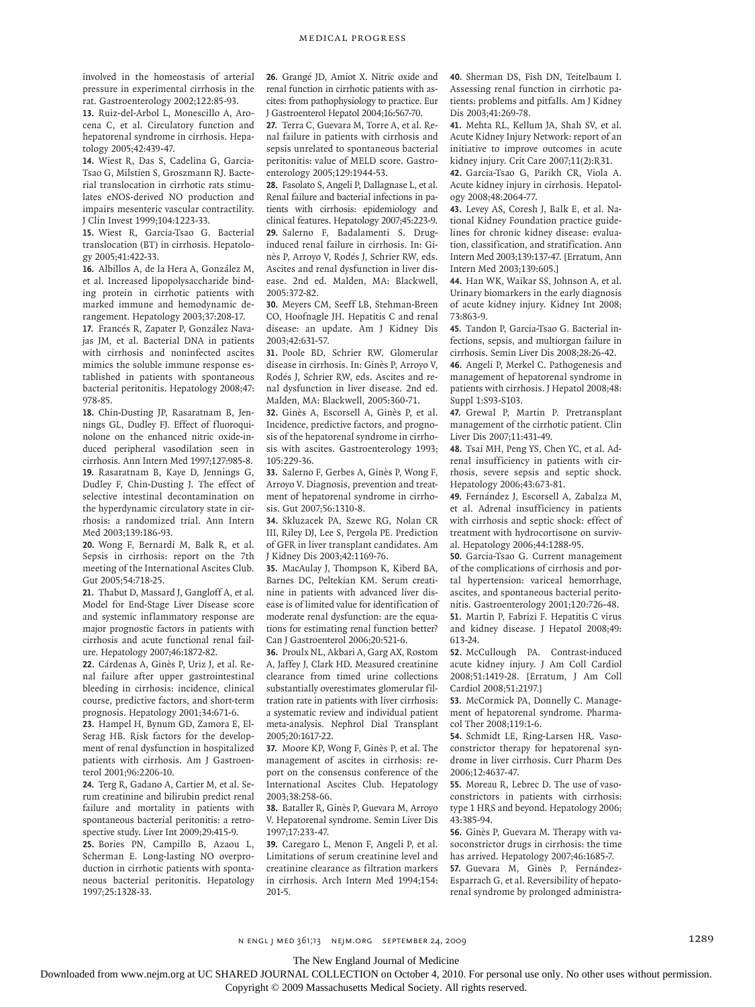involved in the homeostasis of arterial pressure in experimental cirrhosis in the rat. Gastroenterology 2002;122:85-93.

**13.** Ruiz-del-Arbol L, Monescillo A, Arocena C, et al. Circulatory function and hepatorenal syndrome in cirrhosis. Hepatology 2005;42:439-47.

**14.** Wiest R, Das S, Cadelina G, Garcia-Tsao G, Milstien S, Groszmann RJ. Bacterial translocation in cirrhotic rats stimulates eNOS-derived NO production and impairs mesenteric vascular contractility. J Clin Invest 1999;104:1223-33.

**15.** Wiest R, Garcia-Tsao G. Bacterial translocation (BT) in cirrhosis. Hepatology 2005;41:422-33.

**16.** Albillos A, de la Hera A, González M, et al. Increased lipopolysaccharide binding protein in cirrhotic patients with marked immune and hemodynamic derangement. Hepatology 2003;37:208-17.

**17.** Francés R, Zapater P, González Navajas JM, et al. Bacterial DNA in patients with cirrhosis and noninfected ascites mimics the soluble immune response established in patients with spontaneous bacterial peritonitis. Hepatology 2008;47: 978-85.

**18.** Chin-Dusting JP, Rasaratnam B, Jennings GL, Dudley FJ. Effect of fluoroquinolone on the enhanced nitric oxide-induced peripheral vasodilation seen in cirrhosis. Ann Intern Med 1997;127:985-8. **19.** Rasaratnam B, Kaye D, Jennings G, Dudley F, Chin-Dusting J. The effect of selective intestinal decontamination on the hyperdynamic circulatory state in cirrhosis: a randomized trial. Ann Intern Med 2003;139:186-93.

**20.** Wong F, Bernardi M, Balk R, et al. Sepsis in cirrhosis: report on the 7th meeting of the International Ascites Club. Gut 2005;54:718-25.

**21.** Thabut D, Massard J, Gangloff A, et al. Model for End-Stage Liver Disease score and systemic inflammatory response are major prognostic factors in patients with cirrhosis and acute functional renal failure. Hepatology 2007;46:1872-82.

**22.** Cárdenas A, Ginès P, Uriz J, et al. Renal failure after upper gastrointestinal bleeding in cirrhosis: incidence, clinical course, predictive factors, and short-term prognosis. Hepatology 2001;34:671-6.

**23.** Hampel H, Bynum GD, Zamora E, El-Serag HB. Risk factors for the development of renal dysfunction in hospitalized patients with cirrhosis. Am J Gastroenterol 2001;96:2206-10.

**24.** Terg R, Gadano A, Cartier M, et al. Serum creatinine and bilirubin predict renal failure and mortality in patients with spontaneous bacterial peritonitis: a retrospective study. Liver Int 2009;29:415-9.

**25.** Bories PN, Campillo B, Azaou L, Scherman E. Long-lasting NO overproduction in cirrhotic patients with spontaneous bacterial peritonitis. Hepatology 1997;25:1328-33.

**26.** Grangé JD, Amiot X. Nitric oxide and renal function in cirrhotic patients with ascites: from pathophysiology to practice. Eur J Gastroenterol Hepatol 2004;16:567-70.

**27.** Terra C, Guevara M, Torre A, et al. Renal failure in patients with cirrhosis and sepsis unrelated to spontaneous bacterial peritonitis: value of MELD score. Gastroenterology 2005;129:1944-53.

**28.** Fasolato S, Angeli P, Dallagnase L, et al. Renal failure and bacterial infections in patients with cirrhosis: epidemiology and clinical features. Hepatology 2007;45:223-9. **29.** Salerno F, Badalamenti S. Druginduced renal failure in cirrhosis. In: Ginès P, Arroyo V, Rodés J, Schrier RW, eds. Ascites and renal dysfunction in liver disease. 2nd ed. Malden, MA: Blackwell, 2005:372-82.

**30.** Meyers CM, Seeff LB, Stehman-Breen CO, Hoofnagle JH. Hepatitis C and renal disease: an update. Am J Kidney Dis 2003;42:631-57.

**31.** Poole BD, Schrier RW. Glomerular disease in cirrhosis. In: Ginès P, Arroyo V, Rodés J, Schrier RW, eds. Ascites and renal dysfunction in liver disease. 2nd ed. Malden, MA: Blackwell, 2005:360-71.

**32.** Ginès A, Escorsell A, Ginès P, et al. Incidence, predictive factors, and prognosis of the hepatorenal syndrome in cirrhosis with ascites. Gastroenterology 1993; 105:229-36.

**33.** Salerno F, Gerbes A, Ginès P, Wong F, Arroyo V. Diagnosis, prevention and treatment of hepatorenal syndrome in cirrhosis. Gut 2007;56:1310-8.

**34.** Skluzacek PA, Szewc RG, Nolan CR III, Riley DJ, Lee S, Pergola PE. Prediction of GFR in liver transplant candidates. Am J Kidney Dis 2003;42:1169-76.

**35.** MacAulay J, Thompson K, Kiberd BA, Barnes DC, Peltekian KM. Serum creatinine in patients with advanced liver disease is of limited value for identification of moderate renal dysfunction: are the equations for estimating renal function better? Can J Gastroenterol 2006;20:521-6.

**36.** Proulx NL, Akbari A, Garg AX, Rostom A, Jaffey J, Clark HD. Measured creatinine clearance from timed urine collections substantially overestimates glomerular filtration rate in patients with liver cirrhosis: a systematic review and individual patient meta-analysis. Nephrol Dial Transplant 2005;20:1617-22.

**37.** Moore KP, Wong F, Ginès P, et al. The management of ascites in cirrhosis: report on the consensus conference of the International Ascites Club. Hepatology 2003;38:258-66.

**38.** Bataller R, Ginès P, Guevara M, Arroyo V. Hepatorenal syndrome. Semin Liver Dis 1997;17:233-47.

**39.** Caregaro L, Menon F, Angeli P, et al. Limitations of serum creatinine level and creatinine clearance as filtration markers in cirrhosis. Arch Intern Med 1994;154: 201-5.

**40.** Sherman DS, Fish DN, Teitelbaum I. Assessing renal function in cirrhotic patients: problems and pitfalls. Am J Kidney Dis 2003;41:269-78.

**41.** Mehta RL, Kellum JA, Shah SV, et al. Acute Kidney Injury Network: report of an initiative to improve outcomes in acute kidney injury. Crit Care 2007;11(2):R31.

**42.** Garcia-Tsao G, Parikh CR, Viola A. Acute kidney injury in cirrhosis. Hepatology 2008;48:2064-77.

**43.** Levey AS, Coresh J, Balk E, et al. National Kidney Foundation practice guidelines for chronic kidney disease: evaluation, classification, and stratification. Ann Intern Med 2003;139:137-47. [Erratum, Ann Intern Med 2003;139:605.]

**44.** Han WK, Waikar SS, Johnson A, et al. Urinary biomarkers in the early diagnosis of acute kidney injury. Kidney Int 2008; 73:863-9.

**45.** Tandon P, Garcia-Tsao G. Bacterial infections, sepsis, and multiorgan failure in cirrhosis. Semin Liver Dis 2008;28:26-42.

**46.** Angeli P, Merkel C. Pathogenesis and management of hepatorenal syndrome in patients with cirrhosis. J Hepatol 2008;48: Suppl 1:S93-S103.

**47.** Grewal P, Martin P. Pretransplant management of the cirrhotic patient. Clin Liver Dis 2007;11:431-49.

**48.** Tsai MH, Peng YS, Chen YC, et al. Adrenal insufficiency in patients with cirrhosis, severe sepsis and septic shock. Hepatology 2006;43:673-81.

**49.** Fernández J, Escorsell A, Zabalza M, et al. Adrenal insufficiency in patients with cirrhosis and septic shock: effect of treatment with hydrocortisone on survival. Hepatology 2006;44:1288-95.

**50.** Garcia-Tsao G. Current management of the complications of cirrhosis and portal hypertension: variceal hemorrhage, ascites, and spontaneous bacterial peritonitis. Gastroenterology 2001;120:726-48. **51.** Martin P, Fabrizi F. Hepatitis C virus and kidney disease. J Hepatol 2008;49: 613-24.

**52.** McCullough PA. Contrast-induced acute kidney injury. J Am Coll Cardiol 2008;51:1419-28. [Erratum, J Am Coll Cardiol 2008;51:2197.]

**53.** McCormick PA, Donnelly C. Management of hepatorenal syndrome. Pharmacol Ther 2008;119:1-6.

**54.** Schmidt LE, Ring-Larsen HR. Vasoconstrictor therapy for hepatorenal syndrome in liver cirrhosis. Curr Pharm Des 2006;12:4637-47.

**55.** Moreau R, Lebrec D. The use of vasoconstrictors in patients with cirrhosis: type 1 HRS and beyond. Hepatology 2006; 43:385-94.

**56.** Ginès P, Guevara M. Therapy with vasoconstrictor drugs in cirrhosis: the time has arrived. Hepatology 2007;46:1685-7. **57.** Guevara M, Ginès P, Fernández-Esparrach G, et al. Reversibility of hepatorenal syndrome by prolonged administra-

n engl j med 361;13 nejm.org september 24, 2009 1289

The New England Journal of Medicine

Downloaded from www.nejm.org at UC SHARED JOURNAL COLLECTION on October 4, 2010. For personal use only. No other uses without permission.